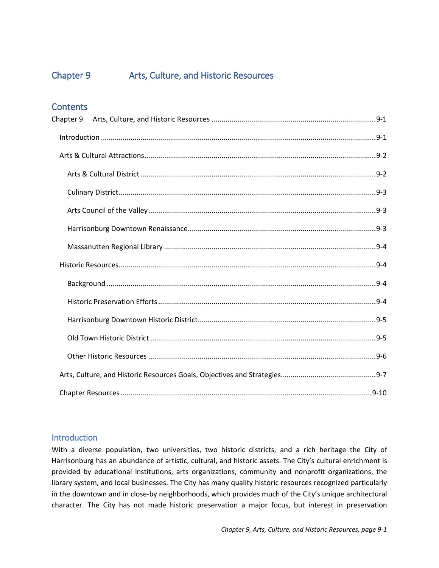# Chapter 9.

# **Arts, Culture, and Historic Resources**





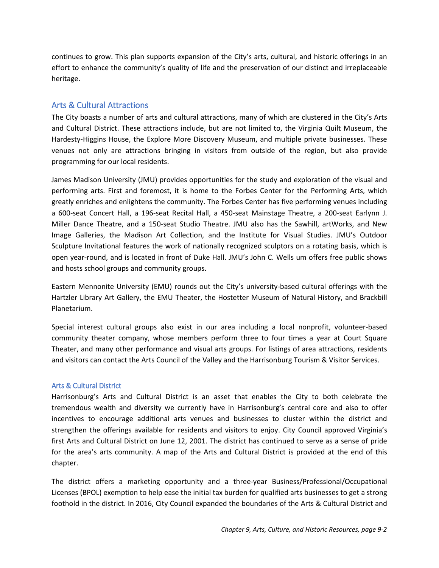# <span id="page-1-0"></span>Chapter 9 Arts, Culture, and Historic Resources

# **Contents**

#### <span id="page-1-1"></span>**Introduction**

With a diverse population, two universities, two historic districts, and a rich heritage the City of Harrisonburg has an abundance of artistic, cultural, and historic assets. The City's cultural enrichment is provided by educational institutions, arts organizations, community and nonprofit organizations, the library system, and local businesses. The City has many quality historic resources recognized particularly in the downtown and in close-by neighborhoods, which provides much of the City's unique architectural character. The City has not made historic preservation a major focus, but interest in preservation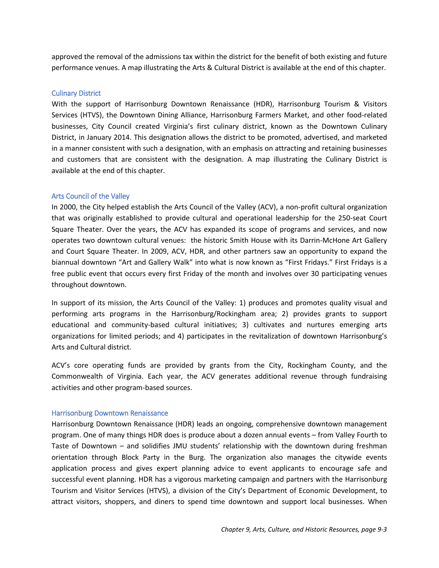continues to grow. This plan supports expansion of the City's arts, cultural, and historic offerings in an effort to enhance the community's quality of life and the preservation of our distinct and irreplaceable heritage.

# <span id="page-2-0"></span>Arts & Cultural Attractions

The City boasts a number of arts and cultural attractions, many of which are clustered in the City's Arts and Cultural District. These attractions include, but are not limited to, the Virginia Quilt Museum, the Hardesty-Higgins House, the Explore More Discovery Museum, and multiple private businesses. These venues not only are attractions bringing in visitors from outside of the region, but also provide programming for our local residents.

James Madison University (JMU) provides opportunities for the study and exploration of the visual and performing arts. First and foremost, it is home to the Forbes Center for the Performing Arts, which greatly enriches and enlightens the community. The Forbes Center has five performing venues including a 600-seat Concert Hall, a 196-seat Recital Hall, a 450-seat Mainstage Theatre, a 200-seat Earlynn J. Miller Dance Theatre, and a 150-seat Studio Theatre. JMU also has the Sawhill, artWorks, and New Image Galleries, the Madison Art Collection, and the Institute for Visual Studies. JMU's Outdoor Sculpture Invitational features the work of nationally recognized sculptors on a rotating basis, which is open year-round, and is located in front of Duke Hall. JMU's John C. Wells um offers free public shows and hosts school groups and community groups.

Eastern Mennonite University (EMU) rounds out the City's university-based cultural offerings with the Hartzler Library Art Gallery, the EMU Theater, the Hostetter Museum of Natural History, and Brackbill Planetarium.

Special interest cultural groups also exist in our area including a local nonprofit, volunteer-based community theater company, whose members perform three to four times a year at Court Square Theater, and many other performance and visual arts groups. For listings of area attractions, residents and visitors can contact the Arts Council of the Valley and the Harrisonburg Tourism & Visitor Services.

#### <span id="page-2-1"></span>Arts & Cultural District

Harrisonburg's Arts and Cultural District is an asset that enables the City to both celebrate the tremendous wealth and diversity we currently have in Harrisonburg's central core and also to offer incentives to encourage additional arts venues and businesses to cluster within the district and strengthen the offerings available for residents and visitors to enjoy. City Council approved Virginia's first Arts and Cultural District on June 12, 2001. The district has continued to serve as a sense of pride for the area's arts community. A map of the Arts and Cultural District is provided at the end of this chapter.

The district offers a marketing opportunity and a three-year Business/Professional/Occupational Licenses (BPOL) exemption to help ease the initial tax burden for qualified arts businesses to get a strong foothold in the district. In 2016, City Council expanded the boundaries of the Arts & Cultural District and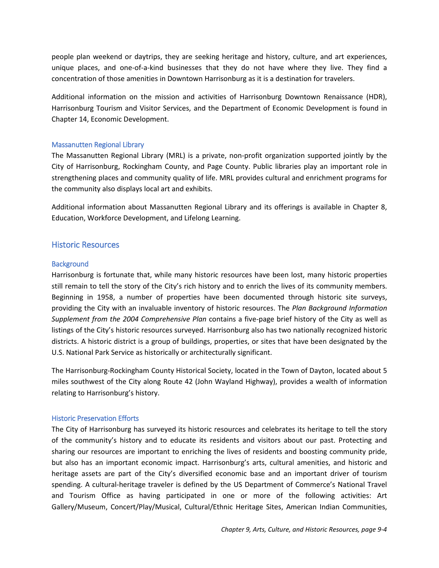approved the removal of the admissions tax within the district for the benefit of both existing and future performance venues. A map illustrating the Arts & Cultural District is available at the end of this chapter.

#### <span id="page-3-0"></span>Culinary District

With the support of Harrisonburg Downtown Renaissance (HDR), Harrisonburg Tourism & Visitors Services (HTVS), the Downtown Dining Alliance, Harrisonburg Farmers Market, and other food-related businesses, City Council created Virginia's first culinary district, known as the Downtown Culinary District, in January 2014. This designation allows the district to be promoted, advertised, and marketed in a manner consistent with such a designation, with an emphasis on attracting and retaining businesses and customers that are consistent with the designation. A map illustrating the Culinary District is available at the end of this chapter.

#### <span id="page-3-1"></span>Arts Council of the Valley

In 2000, the City helped establish the Arts Council of the Valley (ACV), a non-profit cultural organization that was originally established to provide cultural and operational leadership for the 250-seat Court Square Theater. Over the years, the ACV has expanded its scope of programs and services, and now operates two downtown cultural venues: the historic Smith House with its Darrin-McHone Art Gallery and Court Square Theater. In 2009, ACV, HDR, and other partners saw an opportunity to expand the biannual downtown "Art and Gallery Walk" into what is now known as "First Fridays." First Fridays is a free public event that occurs every first Friday of the month and involves over 30 participating venues throughout downtown.

In support of its mission, the Arts Council of the Valley: 1) produces and promotes quality visual and performing arts programs in the Harrisonburg/Rockingham area; 2) provides grants to support educational and community-based cultural initiatives; 3) cultivates and nurtures emerging arts organizations for limited periods; and 4) participates in the revitalization of downtown Harrisonburg's Arts and Cultural district.

ACV's core operating funds are provided by grants from the City, Rockingham County, and the Commonwealth of Virginia. Each year, the ACV generates additional revenue through fundraising activities and other program-based sources.

#### <span id="page-3-2"></span>Harrisonburg Downtown Renaissance

Harrisonburg Downtown Renaissance (HDR) leads an ongoing, comprehensive downtown management program. One of many things HDR does is produce about a dozen annual events – from Valley Fourth to Taste of Downtown – and solidifies JMU students' relationship with the downtown during freshman orientation through Block Party in the Burg. The organization also manages the citywide events application process and gives expert planning advice to event applicants to encourage safe and successful event planning. HDR has a vigorous marketing campaign and partners with the Harrisonburg Tourism and Visitor Services (HTVS), a division of the City's Department of Economic Development, to attract visitors, shoppers, and diners to spend time downtown and support local businesses. When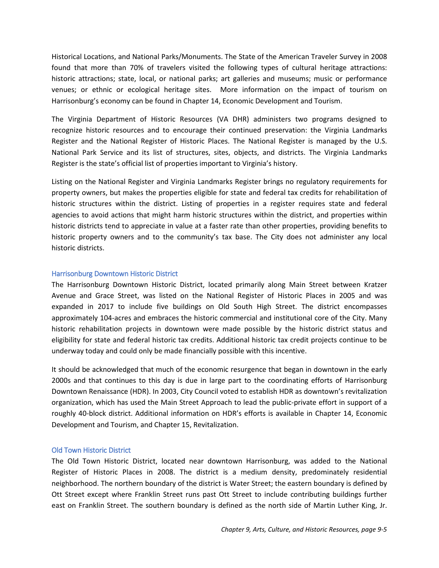people plan weekend or daytrips, they are seeking heritage and history, culture, and art experiences, unique places, and one-of-a-kind businesses that they do not have where they live. They find a concentration of those amenities in Downtown Harrisonburg as it is a destination for travelers.

Additional information on the mission and activities of Harrisonburg Downtown Renaissance (HDR), Harrisonburg Tourism and Visitor Services, and the Department of Economic Development is found in Chapter 14, Economic Development.

#### <span id="page-4-0"></span>Massanutten Regional Library

The Massanutten Regional Library (MRL) is a private, non-profit organization supported jointly by the City of Harrisonburg, Rockingham County, and Page County. Public libraries play an important role in strengthening places and community quality of life. MRL provides cultural and enrichment programs for the community also displays local art and exhibits.

Additional information about Massanutten Regional Library and its offerings is available in Chapter 8, Education, Workforce Development, and Lifelong Learning.

#### <span id="page-4-1"></span>Historic Resources

#### <span id="page-4-2"></span>**Background**

Harrisonburg is fortunate that, while many historic resources have been lost, many historic properties still remain to tell the story of the City's rich history and to enrich the lives of its community members. Beginning in 1958, a number of properties have been documented through historic site surveys, providing the City with an invaluable inventory of historic resources. The *Plan Background Information Supplement from the 2004 Comprehensive Plan* contains a five-page brief history of the City as well as listings of the City's historic resources surveyed. Harrisonburg also has two nationally recognized historic districts. A historic district is a group of buildings, properties, or sites that have been designated by the U.S. National Park Service as historically or architecturally significant.

The Harrisonburg-Rockingham County Historical Society, located in the Town of Dayton, located about 5 miles southwest of the City along Route 42 (John Wayland Highway), provides a wealth of information relating to Harrisonburg's history.

#### <span id="page-4-3"></span>Historic Preservation Efforts

The City of Harrisonburg has surveyed its historic resources and celebrates its heritage to tell the story of the community's history and to educate its residents and visitors about our past. Protecting and sharing our resources are important to enriching the lives of residents and boosting community pride, but also has an important economic impact. Harrisonburg's arts, cultural amenities, and historic and heritage assets are part of the City's diversified economic base and an important driver of tourism spending. A cultural-heritage traveler is defined by the US Department of Commerce's National Travel and Tourism Office as having participated in one or more of the following activities: Art Gallery/Museum, Concert/Play/Musical, Cultural/Ethnic Heritage Sites, American Indian Communities,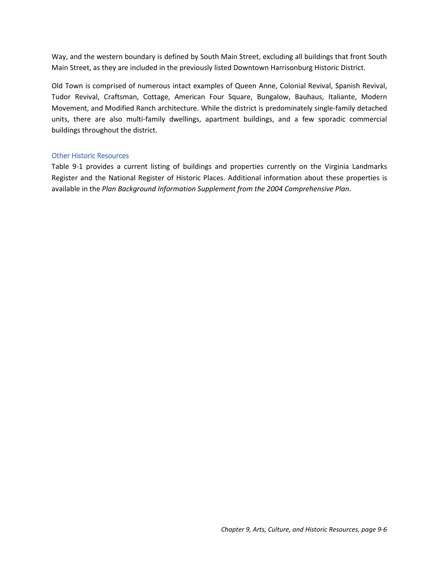Historical Locations, and National Parks/Monuments. The State of the American Traveler Survey in 2008 found that more than 70% of travelers visited the following types of cultural heritage attractions: historic attractions; state, local, or national parks; art galleries and museums; music or performance venues; or ethnic or ecological heritage sites. More information on the impact of tourism on Harrisonburg's economy can be found in Chapter 14, Economic Development and Tourism.

The Virginia Department of Historic Resources (VA DHR) administers two programs designed to recognize historic resources and to encourage their continued preservation: the Virginia Landmarks Register and the National Register of Historic Places. The National Register is managed by the U.S. National Park Service and its list of structures, sites, objects, and districts. The Virginia Landmarks Register is the state's official list of properties important to Virginia's history.

Listing on the National Register and Virginia Landmarks Register brings no regulatory requirements for property owners, but makes the properties eligible for state and federal tax credits for rehabilitation of historic structures within the district. Listing of properties in a register requires state and federal agencies to avoid actions that might harm historic structures within the district, and properties within historic districts tend to appreciate in value at a faster rate than other properties, providing benefits to historic property owners and to the community's tax base. The City does not administer any local historic districts.

#### <span id="page-5-0"></span>Harrisonburg Downtown Historic District

The Harrisonburg Downtown Historic District, located primarily along Main Street between Kratzer Avenue and Grace Street, was listed on the National Register of Historic Places in 2005 and was expanded in 2017 to include five buildings on Old South High Street. The district encompasses approximately 104-acres and embraces the historic commercial and institutional core of the City. Many historic rehabilitation projects in downtown were made possible by the historic district status and eligibility for state and federal historic tax credits. Additional historic tax credit projects continue to be underway today and could only be made financially possible with this incentive.

It should be acknowledged that much of the economic resurgence that began in downtown in the early 2000s and that continues to this day is due in large part to the coordinating efforts of Harrisonburg Downtown Renaissance (HDR). In 2003, City Council voted to establish HDR as downtown's revitalization organization, which has used the Main Street Approach to lead the public-private effort in support of a roughly 40-block district. Additional information on HDR's efforts is available in Chapter 14, Economic Development and Tourism, and Chapter 15, Revitalization.

#### <span id="page-5-1"></span>Old Town Historic District

The Old Town Historic District, located near downtown Harrisonburg, was added to the National Register of Historic Places in 2008. The district is a medium density, predominately residential neighborhood. The northern boundary of the district is Water Street; the eastern boundary is defined by Ott Street except where Franklin Street runs past Ott Street to include contributing buildings further east on Franklin Street. The southern boundary is defined as the north side of Martin Luther King, Jr.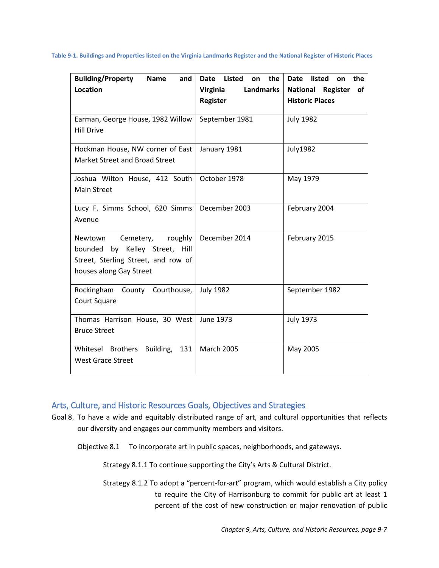Way, and the western boundary is defined by South Main Street, excluding all buildings that front South Main Street, as they are included in the previously listed Downtown Harrisonburg Historic District.

Old Town is comprised of numerous intact examples of Queen Anne, Colonial Revival, Spanish Revival, Tudor Revival, Craftsman, Cottage, American Four Square, Bungalow, Bauhaus, Italiante, Modern Movement, and Modified Ranch architecture. While the district is predominately single-family detached units, there are also multi-family dwellings, apartment buildings, and a few sporadic commercial buildings throughout the district.

#### <span id="page-6-0"></span>Other Historic Resources

Table 9-1 provides a current listing of buildings and properties currently on the Virginia Landmarks Register and the National Register of Historic Places. Additional information about these properties is available in the *Plan Background Information Supplement from the 2004 Comprehensive Plan*.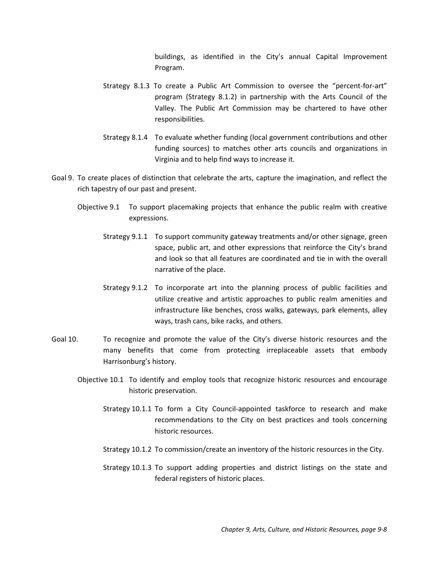**Table 9-1. Buildings and Properties listed on the Virginia Landmarks Register and the National Register of Historic Places**

| <b>Building/Property</b><br>Name<br>and<br>Location                                                                                 | Date Listed<br>the<br>on<br>Virginia<br>Landmarks | Date listed<br>the<br><b>on</b><br><b>National Register</b><br>of |
|-------------------------------------------------------------------------------------------------------------------------------------|---------------------------------------------------|-------------------------------------------------------------------|
|                                                                                                                                     | Register                                          | <b>Historic Places</b>                                            |
| Earman, George House, 1982 Willow<br><b>Hill Drive</b>                                                                              | September 1981                                    | <b>July 1982</b>                                                  |
| Hockman House, NW corner of East<br>Market Street and Broad Street                                                                  | January 1981                                      | <b>July1982</b>                                                   |
| Joshua Wilton House, 412 South<br><b>Main Street</b>                                                                                | October 1978                                      | May 1979                                                          |
| Lucy F. Simms School, 620 Simms<br>Avenue                                                                                           | December 2003                                     | February 2004                                                     |
| Cemetery, roughly<br>Newtown<br>bounded<br>by Kelley Street, Hill<br>Street, Sterling Street, and row of<br>houses along Gay Street | December 2014                                     | February 2015                                                     |
| Rockingham County Courthouse,<br>Court Square                                                                                       | <b>July 1982</b>                                  | September 1982                                                    |
| Thomas Harrison House, 30 West<br><b>Bruce Street</b>                                                                               | June 1973                                         | <b>July 1973</b>                                                  |
| Whitesel Brothers<br>Building,<br>131<br><b>West Grace Street</b>                                                                   | <b>March 2005</b>                                 | May 2005                                                          |

# <span id="page-7-0"></span>Arts, Culture, and Historic Resources Goals, Objectives and Strategies

Goal 8. To have a wide and equitably distributed range of art, and cultural opportunities that reflects our diversity and engages our community members and visitors.

Objective 8.1 To incorporate art in public spaces, neighborhoods, and gateways.

Strategy 8.1.1 To continue supporting the City's Arts & Cultural District.

Strategy 8.1.2 To adopt a "percent-for-art" program, which would establish a City policy to require the City of Harrisonburg to commit for public art at least 1 percent of the cost of new construction or major renovation of public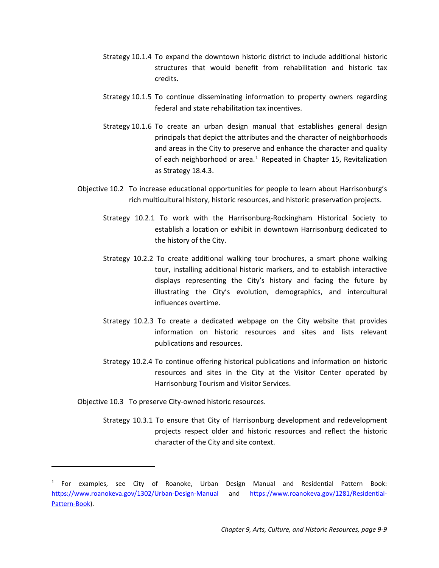buildings, as identified in the City's annual Capital Improvement Program.

- Strategy 8.1.3 To create a Public Art Commission to oversee the "percent-for-art" program (Strategy 8.1.2) in partnership with the Arts Council of the Valley. The Public Art Commission may be chartered to have other responsibilities.
- Strategy 8.1.4 To evaluate whether funding (local government contributions and other funding sources) to matches other arts councils and organizations in Virginia and to help find ways to increase it.
- Goal 9. To create places of distinction that celebrate the arts, capture the imagination, and reflect the rich tapestry of our past and present.
	- Objective 9.1 To support placemaking projects that enhance the public realm with creative expressions.
		- Strategy 9.1.1 To support community gateway treatments and/or other signage, green space, public art, and other expressions that reinforce the City's brand and look so that all features are coordinated and tie in with the overall narrative of the place.
		- Strategy 9.1.2 To incorporate art into the planning process of public facilities and utilize creative and artistic approaches to public realm amenities and infrastructure like benches, cross walks, gateways, park elements, alley ways, trash cans, bike racks, and others.
- Goal 10. To recognize and promote the value of the City's diverse historic resources and the many benefits that come from protecting irreplaceable assets that embody Harrisonburg's history.
	- Objective 10.1 To identify and employ tools that recognize historic resources and encourage historic preservation.
		- Strategy 10.1.1 To form a City Council-appointed taskforce to research and make recommendations to the City on best practices and tools concerning historic resources.
		- Strategy 10.1.2 To commission/create an inventory of the historic resources in the City.
		- Strategy 10.1.3 To support adding properties and district listings on the state and federal registers of historic places.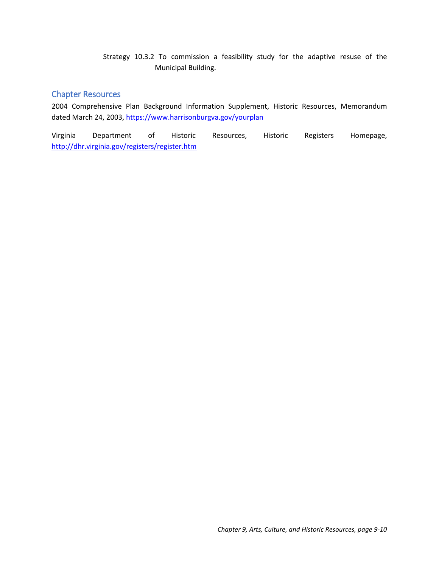- Strategy 10.1.4 To expand the downtown historic district to include additional historic structures that would benefit from rehabilitation and historic tax credits.
- Strategy 10.1.5 To continue disseminating information to property owners regarding federal and state rehabilitation tax incentives.
- Strategy 10.1.6 To create an urban design manual that establishes general design principals that depict the attributes and the character of neighborhoods and areas in the City to preserve and enhance the character and quality of each neighborhood or area. $1$  Repeated in Chapter 15, Revitalization as Strategy 18.4.3.
- Objective 10.2 To increase educational opportunities for people to learn about Harrisonburg's rich multicultural history, historic resources, and historic preservation projects.
	- Strategy 10.2.1 To work with the Harrisonburg-Rockingham Historical Society to establish a location or exhibit in downtown Harrisonburg dedicated to the history of the City.
	- Strategy 10.2.2 To create additional walking tour brochures, a smart phone walking tour, installing additional historic markers, and to establish interactive displays representing the City's history and facing the future by illustrating the City's evolution, demographics, and intercultural influences overtime.
	- Strategy 10.2.3 To create a dedicated webpage on the City website that provides information on historic resources and sites and lists relevant publications and resources.
	- Strategy 10.2.4 To continue offering historical publications and information on historic resources and sites in the City at the Visitor Center operated by Harrisonburg Tourism and Visitor Services.
- Objective 10.3 To preserve City-owned historic resources.

 $\overline{a}$ 

Strategy 10.3.1 To ensure that City of Harrisonburg development and redevelopment projects respect older and historic resources and reflect the historic character of the City and site context.

<span id="page-9-0"></span> $<sup>1</sup>$  For examples, see City of Roanoke, Urban Design Manual and Residential Pattern Book:</sup> <https://www.roanokeva.gov/1302/Urban-Design-Manual> and [https://www.roanokeva.gov/1281/Residential-](https://www.roanokeva.gov/1281/Residential-Pattern-Book)[Pattern-Book\)](https://www.roanokeva.gov/1281/Residential-Pattern-Book).